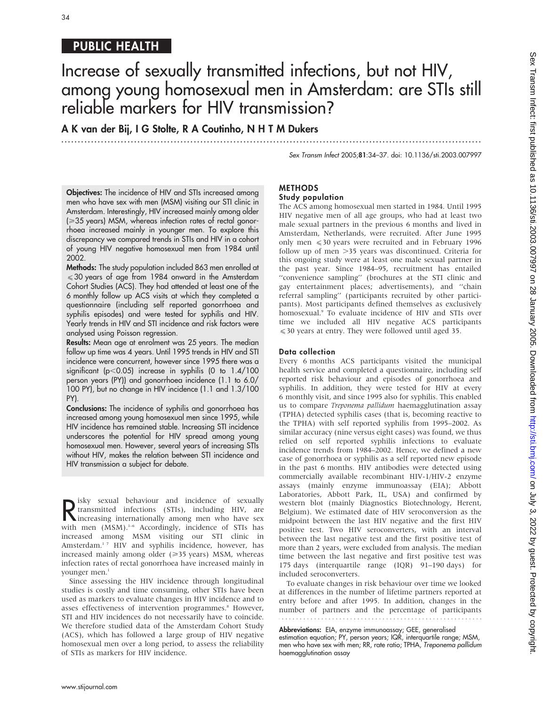# PUBLIC HEALTH

# Increase of sexually transmitted infections, but not HIV, among young homosexual men in Amsterdam: are STIs still reliable markers for HIV transmission?

...............................................................................................................................

A K van der Bij, I G Stolte, R A Coutinho, N H T M Dukers

Sex Transm Infect 2005;81:34–37. doi: 10.1136/sti.2003.007997

**Objectives:** The incidence of HIV and STIs increased among men who have sex with men (MSM) visiting our STI clinic in Amsterdam. Interestingly, HIV increased mainly among older (≥35 years) MSM, whereas infection rates of rectal gonorrhoea increased mainly in younger men. To explore this discrepancy we compared trends in STIs and HIV in a cohort of young HIV negative homosexual men from 1984 until 2002.

Methods: The study population included 863 men enrolled at  $\leqslant$  30 years of age from 1984 onward in the Amsterdam Cohort Studies (ACS). They had attended at least one of the 6 monthly follow up ACS visits at which they completed a questionnaire (including self reported gonorrhoea and syphilis episodes) and were tested for syphilis and HIV. Yearly trends in HIV and STI incidence and risk factors were analysed using Poisson regression.

Results: Mean age at enrolment was 25 years. The median follow up time was 4 years. Until 1995 trends in HIV and STI incidence were concurrent, however since 1995 there was a significant ( $p$ <0.05) increase in syphilis (0 to  $1.4/100$ person years (PY)) and gonorrhoea incidence (1.1 to 6.0/ 100 PY), but no change in HIV incidence (1.1 and 1.3/100 PY).

Conclusions: The incidence of syphilis and gonorrhoea has increased among young homosexual men since 1995, while HIV incidence has remained stable. Increasing STI incidence underscores the potential for HIV spread among young homosexual men. However, several years of increasing STIs without HIV, makes the relation between STI incidence and HIV transmission a subject for debate.

Example Sexual behaviour and incidence of sexually<br>
increasing internationally among men who have sex<br>
with men (MSM) <sup>1-6</sup> Accordingly incidence of STLs beg  $\sum$  isky sexual behaviour and incidence of sexually transmitted infections (STIs), including HIV, are with men (MSM).<sup>1-6</sup> Accordingly, incidence of STIs has increased among MSM visiting our STI clinic in Amsterdam.<sup>17</sup> HIV and syphilis incidence, however, has increased mainly among older  $(\geq 35 \text{ years})$  MSM, whereas infection rates of rectal gonorrhoea have increased mainly in younger men.1

Since assessing the HIV incidence through longitudinal studies is costly and time consuming, other STIs have been used as markers to evaluate changes in HIV incidence and to asses effectiveness of intervention programmes.<sup>8</sup> However, STI and HIV incidences do not necessarily have to coincide. We therefore studied data of the Amsterdam Cohort Study (ACS), which has followed a large group of HIV negative homosexual men over a long period, to assess the reliability of STIs as markers for HIV incidence.

# METHODS

## Study population

The ACS among homosexual men started in 1984. Until 1995 HIV negative men of all age groups, who had at least two male sexual partners in the previous 6 months and lived in Amsterdam, Netherlands, were recruited. After June 1995 only men  $\leq 30$  years were recruited and in February 1996 follow up of men  $>$ 35 years was discontinued. Criteria for this ongoing study were at least one male sexual partner in the past year. Since 1984–95, recruitment has entailed ''convenience sampling'' (brochures at the STI clinic and gay entertainment places; advertisements), and ''chain referral sampling'' (participants recruited by other participants). Most participants defined themselves as exclusively homosexual.<sup>9</sup> To evaluate incidence of HIV and STIs over time we included all HIV negative ACS participants  $\leq$  30 years at entry. They were followed until aged 35.

#### Data collection

Every 6 months ACS participants visited the municipal health service and completed a questionnaire, including self reported risk behaviour and episodes of gonorrhoea and syphilis. In addition, they were tested for HIV at every 6 monthly visit, and since 1995 also for syphilis. This enabled us to compare Treponema pallidum haemagglutination assay (TPHA) detected syphilis cases (that is, becoming reactive to the TPHA) with self reported syphilis from 1995–2002. As similar accuracy (nine versus eight cases) was found, we thus relied on self reported syphilis infections to evaluate incidence trends from 1984–2002. Hence, we defined a new case of gonorrhoea or syphilis as a self reported new episode in the past 6 months. HIV antibodies were detected using commercially available recombinant HIV-1/HIV-2 enzyme assays (mainly enzyme immunoassay (EIA); Abbott Laboratories, Abbott Park, IL, USA) and confirmed by western blot (mainly Diagnostics Biotechnology, Herent, Belgium). We estimated date of HIV seroconversion as the midpoint between the last HIV negative and the first HIV positive test. Two HIV seroconverters, with an interval between the last negative test and the first positive test of more than 2 years, were excluded from analysis. The median time between the last negative and first positive test was 175 days (interquartile range (IQR) 91–190 days) for included seroconverters.

To evaluate changes in risk behaviour over time we looked at differences in the number of lifetime partners reported at entry before and after 1995. In addition, changes in the number of partners and the percentage of participants

Abbreviations: EIA, enzyme immunoassay; GEE, generalised

estimation equation; PY, person years; IQR, interquartile range; MSM, men who have sex with men; RR, rate ratio; TPHA, Treponema pallidum haemagglutination assay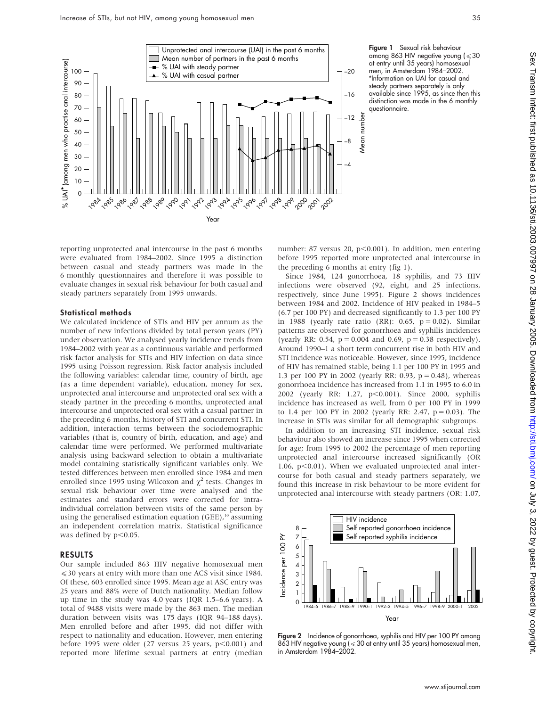

Figure 1 Sexual risk behaviour among 863 HIV negative young ( $\leqslant$  30 at entry until 35 years) homosexual men, in Amsterdam 1984–2002. \*Information on UAI for casual and steady partners separately is only available since 1995, as since then this distinction was made in the 6 monthly questionnaire.

reporting unprotected anal intercourse in the past 6 months were evaluated from 1984–2002. Since 1995 a distinction between casual and steady partners was made in the 6 monthly questionnaires and therefore it was possible to evaluate changes in sexual risk behaviour for both casual and steady partners separately from 1995 onwards.

#### Statistical methods

We calculated incidence of STIs and HIV per annum as the number of new infections divided by total person years (PY) under observation. We analysed yearly incidence trends from 1984–2002 with year as a continuous variable and performed risk factor analysis for STIs and HIV infection on data since 1995 using Poisson regression. Risk factor analysis included the following variables: calendar time, country of birth, age (as a time dependent variable), education, money for sex, unprotected anal intercourse and unprotected oral sex with a steady partner in the preceding 6 months, unprotected anal intercourse and unprotected oral sex with a casual partner in the preceding 6 months, history of STI and concurrent STI. In addition, interaction terms between the sociodemographic variables (that is, country of birth, education, and age) and calendar time were performed. We performed multivariate analysis using backward selection to obtain a multivariate model containing statistically significant variables only. We tested differences between men enrolled since 1984 and men enrolled since 1995 using Wilcoxon and  $\chi^2$  tests. Changes in sexual risk behaviour over time were analysed and the estimates and standard errors were corrected for intraindividual correlation between visits of the same person by using the generalised estimation equation (GEE),<sup>10</sup> assuming an independent correlation matrix. Statistical significance was defined by  $p<0.05$ .

#### RESULTS

Our sample included 863 HIV negative homosexual men  $\leq$  30 years at entry with more than one ACS visit since 1984. Of these, 603 enrolled since 1995. Mean age at ASC entry was 25 years and 88% were of Dutch nationality. Median follow up time in the study was 4.0 years (IQR 1.5–6.6 years). A total of 9488 visits were made by the 863 men. The median duration between visits was 175 days (IQR 94–188 days). Men enrolled before and after 1995, did not differ with respect to nationality and education. However, men entering before 1995 were older (27 versus 25 years,  $p<0.001$ ) and reported more lifetime sexual partners at entry (median

number: 87 versus 20, p $<$ 0.001). In addition, men entering before 1995 reported more unprotected anal intercourse in the preceding 6 months at entry (fig 1).

Since 1984, 124 gonorrhoea, 18 syphilis, and 73 HIV infections were observed (92, eight, and 25 infections, respectively, since June 1995). Figure 2 shows incidences between 1984 and 2002. Incidence of HIV peaked in 1984–5 (6.7 per 100 PY) and decreased significantly to 1.3 per 100 PY in 1988 (yearly rate ratio (RR): 0.65,  $p = 0.02$ ). Similar patterns are observed for gonorrhoea and syphilis incidences (yearly RR: 0.54,  $p = 0.004$  and 0.69,  $p = 0.38$  respectively). Around 1990–1 a short term concurrent rise in both HIV and STI incidence was noticeable. However, since 1995, incidence of HIV has remained stable, being 1.1 per 100 PY in 1995 and 1.3 per 100 PY in 2002 (yearly RR: 0.93, p = 0.48), whereas gonorrhoea incidence has increased from 1.1 in 1995 to 6.0 in 2002 (yearly RR: 1.27, p<0.001). Since 2000, syphilis incidence has increased as well, from 0 per 100 PY in 1999 to 1.4 per 100 PY in 2002 (yearly RR: 2.47,  $p = 0.03$ ). The increase in STIs was similar for all demographic subgroups.

In addition to an increasing STI incidence, sexual risk behaviour also showed an increase since 1995 when corrected for age; from 1995 to 2002 the percentage of men reporting unprotected anal intercourse increased significantly (OR 1.06,  $p<0.01$ ). When we evaluated unprotected anal intercourse for both casual and steady partners separately, we found this increase in risk behaviour to be more evident for unprotected anal intercourse with steady partners (OR: 1.07,



Figure 2 Incidence of gonorrhoea, syphilis and HIV per 100 PY among 863 HIV negative young ( < 30 at entry until 35 years) homosexual men, in Amsterdam 1984–2002.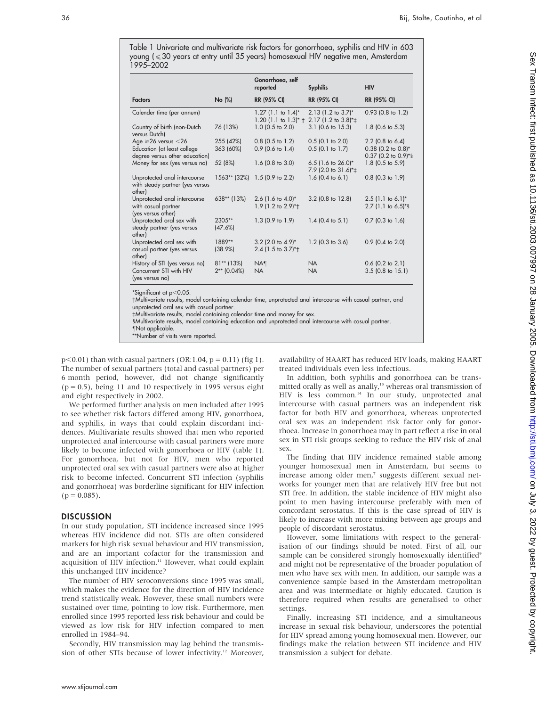Table 1 Univariate and multivariate risk factors for gonorrhoea, syphilis and HIV in 603 young ( $\leq$  30 years at entry until 35 years) homosexual HIV negative men, Amsterdam 1995–2002

|                                                                              |                               | Gonorrhoea, self                                                 |                                                                              |                                                         |
|------------------------------------------------------------------------------|-------------------------------|------------------------------------------------------------------|------------------------------------------------------------------------------|---------------------------------------------------------|
|                                                                              |                               | reported                                                         | <b>Syphilis</b>                                                              | <b>HIV</b>                                              |
| <b>Factors</b>                                                               | No (%)                        | <b>RR (95% CI)</b>                                               | RR (95% CI)                                                                  | <b>RR (95% CI)</b>                                      |
| Calender time (per annum)                                                    |                               | $1.27$ (1.1 to $1.4$ )*                                          | $2.13$ (1.2 to $3.7$ )*<br>1.20 (1.1 to 1.3)* $\pm$ 2.17 (1.2 to 3.8)* $\pm$ | $0.93$ (0.8 to 1.2)                                     |
| Country of birth (non-Dutch<br>versus Dutch)                                 | 76 (13%)                      | $1.0$ (0.5 to 2.0)                                               | 3.1 (0.6 to 15.3)                                                            | $1.8$ (0.6 to 5.3)                                      |
| Age $\geq 26$ versus < 26                                                    | 255 (42%)                     | $0.8$ (0.5 to 1.2)                                               | $0.5$ (0.1 to 2.0)                                                           | $2.2$ (0.8 to 6.4)                                      |
| Education (at least college<br>degree versus other education)                | 363 (60%)                     | $0.9$ (0.6 to 1.4)                                               | $0.5$ (0.1 to 1.7)                                                           | $0.38$ (0.2 to $0.8$ )*<br>0.37 (0.2 to 0.9)*§          |
| Money for sex (yes versus no)                                                | 52 (8%)                       | 1.6 $(0.8 \text{ to } 3.0)$                                      | 6.5 (1.6 to $26.0$ )*<br>7.9 (2.0 to 31.6)* <sup>+</sup>                     | 1.8 (0.5 to 5.9)                                        |
| Unprotected anal intercourse<br>with steady partner (yes versus<br>other)    |                               | 1563** (32%) 1.5 (0.9 to 2.2)                                    | 1.6 $(0.4 \text{ to } 6.1)$                                                  | $0.8$ (0.3 to 1.9)                                      |
| Unprotected anal intercourse<br>with casual partner<br>(yes versus other)    | $638**$ (13%)                 | 2.6 $(1.6 \text{ to } 4.0)^*$<br>1.9 (1.2 to $2.9$ <sup>*+</sup> | $3.2$ (0.8 to 12.8)                                                          | $2.5$ (1.1 to 6.1) <sup>*</sup><br>$2.7$ (1.1 to 6.5)*§ |
| Unprotected oral sex with<br>steady partner (yes versus<br>other)            | $2305**$<br>(47.6%)           | $1.3$ (0.9 to 1.9)                                               | 1.4 $(0.4 \text{ to } 5.1)$                                                  | $0.7$ (0.3 to 1.6)                                      |
| Unprotected oral sex with<br>casual partner (yes versus<br>other)            | 1889**<br>$(38.9\%)$          | $3.2$ (2.0 to 4.9)*<br>2.4 (1.5 to 3.7)*+                        | $1.2$ (0.3 to 3.6)                                                           | $0.9$ (0.4 to 2.0)                                      |
| History of STI (yes versus no)<br>Concurrent STI with HIV<br>(yes versus no) | $81**$ (13%)<br>$2**$ (0.04%) | <b>NA</b> ¶<br><b>NA</b>                                         | <b>NA</b><br><b>NA</b>                                                       | $0.6$ (0.2 to 2.1)<br>$3.5(0.8 \text{ to } 15.1)$       |

 $*$ Significant at p $<$ 0.05.

Multivariate results, model containing calendar time, unprotected anal intercourse with casual partner, and unprotected oral sex with casual partner.

`Multivariate results, model containing calendar time and money for sex.

1Multivariate results, model containing education and unprotected anal intercourse with casual partner.

-Not applicable. \*\*Number of visits were reported.

 $p<0.01$ ) than with casual partners (OR:1.04,  $p = 0.11$ ) (fig 1). The number of sexual partners (total and casual partners) per 6 month period, however, did not change significantly  $(p = 0.5)$ , being 11 and 10 respectively in 1995 versus eight and eight respectively in 2002.

We performed further analysis on men included after 1995 to see whether risk factors differed among HIV, gonorrhoea, and syphilis, in ways that could explain discordant incidences. Multivariate results showed that men who reported unprotected anal intercourse with casual partners were more likely to become infected with gonorrhoea or HIV (table 1). For gonorrhoea, but not for HIV, men who reported unprotected oral sex with casual partners were also at higher risk to become infected. Concurrent STI infection (syphilis and gonorrhoea) was borderline significant for HIV infection  $(p = 0.085)$ .

#### **DISCUSSION**

In our study population, STI incidence increased since 1995 whereas HIV incidence did not. STIs are often considered markers for high risk sexual behaviour and HIV transmission, and are an important cofactor for the transmission and acquisition of HIV infection.<sup>11</sup> However, what could explain this unchanged HIV incidence?

The number of HIV seroconversions since 1995 was small, which makes the evidence for the direction of HIV incidence trend statistically weak. However, these small numbers were sustained over time, pointing to low risk. Furthermore, men enrolled since 1995 reported less risk behaviour and could be viewed as low risk for HIV infection compared to men enrolled in 1984–94.

Secondly, HIV transmission may lag behind the transmission of other STIs because of lower infectivity.<sup>12</sup> Moreover, availability of HAART has reduced HIV loads, making HAART treated individuals even less infectious.

In addition, both syphilis and gonorrhoea can be transmitted orally as well as anally,<sup>13</sup> whereas oral transmission of HIV is less common.<sup>14</sup> In our study, unprotected anal intercourse with casual partners was an independent risk factor for both HIV and gonorrhoea, whereas unprotected oral sex was an independent risk factor only for gonorrhoea. Increase in gonorrhoea may in part reflect a rise in oral sex in STI risk groups seeking to reduce the HIV risk of anal sex.

The finding that HIV incidence remained stable among younger homosexual men in Amsterdam, but seems to increase among older men,<sup>7</sup> suggests different sexual networks for younger men that are relatively HIV free but not STI free. In addition, the stable incidence of HIV might also point to men having intercourse preferably with men of concordant serostatus. If this is the case spread of HIV is likely to increase with more mixing between age groups and people of discordant serostatus.

However, some limitations with respect to the generalisation of our findings should be noted. First of all, our sample can be considered strongly homosexually identified<sup>9</sup> and might not be representative of the broader population of men who have sex with men. In addition, our sample was a convenience sample based in the Amsterdam metropolitan area and was intermediate or highly educated. Caution is therefore required when results are generalised to other settings.

Finally, increasing STI incidence, and a simultaneous increase in sexual risk behaviour, underscores the potential for HIV spread among young homosexual men. However, our findings make the relation between STI incidence and HIV transmission a subject for debate.